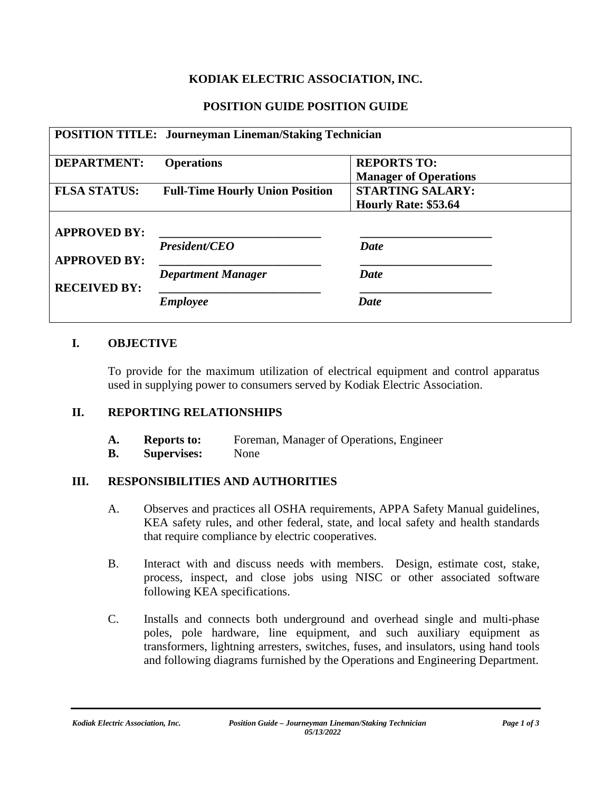### **KODIAK ELECTRIC ASSOCIATION, INC.**

## **POSITION GUIDE POSITION GUIDE**

| <b>POSITION TITLE: Journeyman Lineman/Staking Technician</b>      |                                                   |                              |  |
|-------------------------------------------------------------------|---------------------------------------------------|------------------------------|--|
| <b>DEPARTMENT:</b>                                                | <b>Operations</b>                                 | <b>REPORTS TO:</b>           |  |
|                                                                   |                                                   | <b>Manager of Operations</b> |  |
| <b>FLSA STATUS:</b>                                               | <b>Full-Time Hourly Union Position</b>            | <b>STARTING SALARY:</b>      |  |
|                                                                   |                                                   | Hourly Rate: \$53.64         |  |
| <b>APPROVED BY:</b><br><b>APPROVED BY:</b><br><b>RECEIVED BY:</b> | <b>President/CEO</b><br><b>Department Manager</b> | <b>Date</b><br><b>Date</b>   |  |

### **I. OBJECTIVE**

To provide for the maximum utilization of electrical equipment and control apparatus used in supplying power to consumers served by Kodiak Electric Association.

#### **II. REPORTING RELATIONSHIPS**

- **A. Reports to:** Foreman, Manager of Operations, Engineer
- **B. Supervises:** None

### **III. RESPONSIBILITIES AND AUTHORITIES**

- A. Observes and practices all OSHA requirements, APPA Safety Manual guidelines, KEA safety rules, and other federal, state, and local safety and health standards that require compliance by electric cooperatives.
- B. Interact with and discuss needs with members. Design, estimate cost, stake, process, inspect, and close jobs using NISC or other associated software following KEA specifications.
- C. Installs and connects both underground and overhead single and multi-phase poles, pole hardware, line equipment, and such auxiliary equipment as transformers, lightning arresters, switches, fuses, and insulators, using hand tools and following diagrams furnished by the Operations and Engineering Department.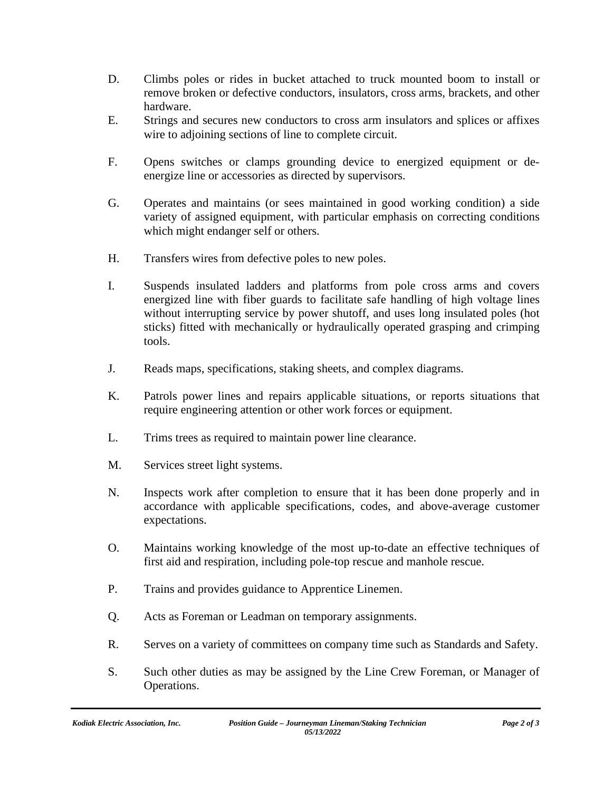- D. Climbs poles or rides in bucket attached to truck mounted boom to install or remove broken or defective conductors, insulators, cross arms, brackets, and other hardware.
- E. Strings and secures new conductors to cross arm insulators and splices or affixes wire to adjoining sections of line to complete circuit.
- F. Opens switches or clamps grounding device to energized equipment or deenergize line or accessories as directed by supervisors.
- G. Operates and maintains (or sees maintained in good working condition) a side variety of assigned equipment, with particular emphasis on correcting conditions which might endanger self or others.
- H. Transfers wires from defective poles to new poles.
- I. Suspends insulated ladders and platforms from pole cross arms and covers energized line with fiber guards to facilitate safe handling of high voltage lines without interrupting service by power shutoff, and uses long insulated poles (hot sticks) fitted with mechanically or hydraulically operated grasping and crimping tools.
- J. Reads maps, specifications, staking sheets, and complex diagrams.
- K. Patrols power lines and repairs applicable situations, or reports situations that require engineering attention or other work forces or equipment.
- L. Trims trees as required to maintain power line clearance.
- M. Services street light systems.
- N. Inspects work after completion to ensure that it has been done properly and in accordance with applicable specifications, codes, and above-average customer expectations.
- O. Maintains working knowledge of the most up-to-date an effective techniques of first aid and respiration, including pole-top rescue and manhole rescue.
- P. Trains and provides guidance to Apprentice Linemen.
- Q. Acts as Foreman or Leadman on temporary assignments.
- R. Serves on a variety of committees on company time such as Standards and Safety.
- S. Such other duties as may be assigned by the Line Crew Foreman, or Manager of Operations.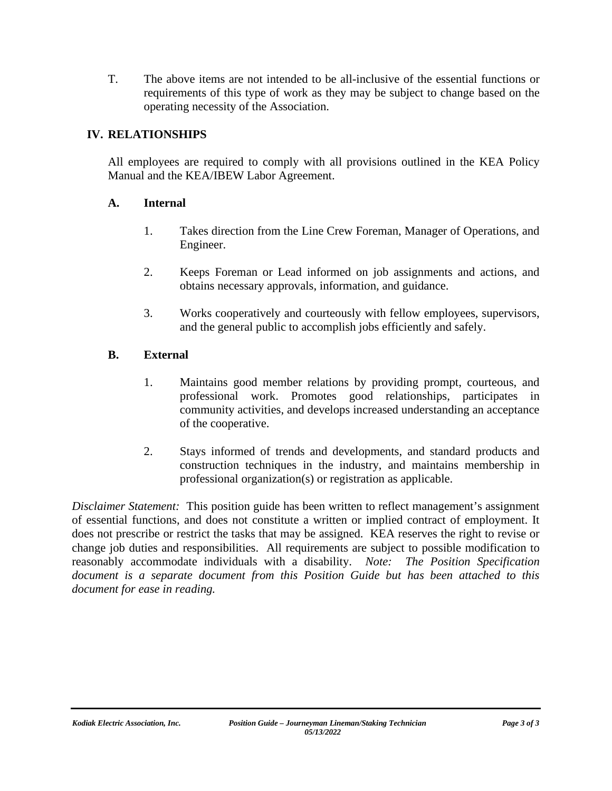T. The above items are not intended to be all-inclusive of the essential functions or requirements of this type of work as they may be subject to change based on the operating necessity of the Association.

# **IV. RELATIONSHIPS**

All employees are required to comply with all provisions outlined in the KEA Policy Manual and the KEA/IBEW Labor Agreement.

### **A. Internal**

- 1. Takes direction from the Line Crew Foreman, Manager of Operations, and Engineer.
- 2. Keeps Foreman or Lead informed on job assignments and actions, and obtains necessary approvals, information, and guidance.
- 3. Works cooperatively and courteously with fellow employees, supervisors, and the general public to accomplish jobs efficiently and safely.

### **B. External**

- 1. Maintains good member relations by providing prompt, courteous, and professional work. Promotes good relationships, participates in community activities, and develops increased understanding an acceptance of the cooperative.
- 2. Stays informed of trends and developments, and standard products and construction techniques in the industry, and maintains membership in professional organization(s) or registration as applicable.

*Disclaimer Statement:* This position guide has been written to reflect management's assignment of essential functions, and does not constitute a written or implied contract of employment. It does not prescribe or restrict the tasks that may be assigned. KEA reserves the right to revise or change job duties and responsibilities. All requirements are subject to possible modification to reasonably accommodate individuals with a disability. *Note: The Position Specification document is a separate document from this Position Guide but has been attached to this document for ease in reading.*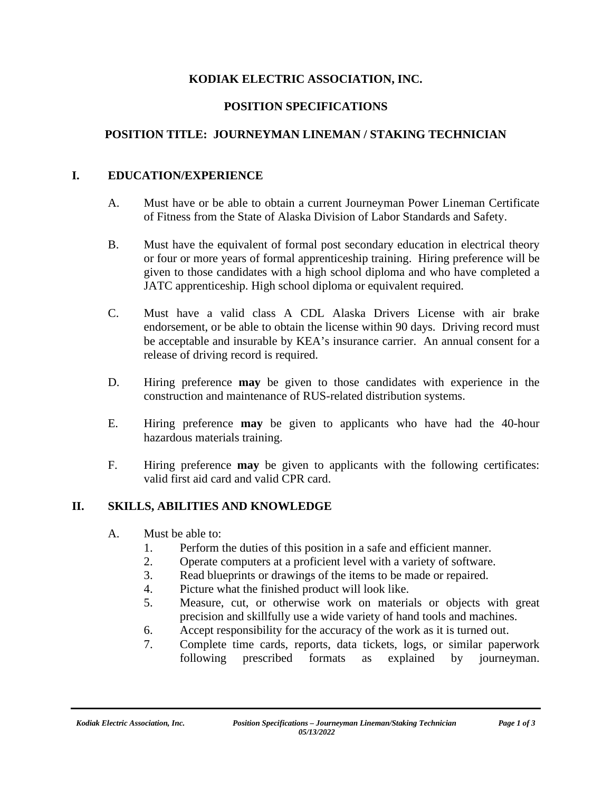## **KODIAK ELECTRIC ASSOCIATION, INC.**

# **POSITION SPECIFICATIONS**

## **POSITION TITLE: JOURNEYMAN LINEMAN / STAKING TECHNICIAN**

### **I. EDUCATION/EXPERIENCE**

- A. Must have or be able to obtain a current Journeyman Power Lineman Certificate of Fitness from the State of Alaska Division of Labor Standards and Safety.
- B. Must have the equivalent of formal post secondary education in electrical theory or four or more years of formal apprenticeship training. Hiring preference will be given to those candidates with a high school diploma and who have completed a JATC apprenticeship. High school diploma or equivalent required.
- C. Must have a valid class A CDL Alaska Drivers License with air brake endorsement, or be able to obtain the license within 90 days. Driving record must be acceptable and insurable by KEA's insurance carrier. An annual consent for a release of driving record is required.
- D. Hiring preference **may** be given to those candidates with experience in the construction and maintenance of RUS-related distribution systems.
- E. Hiring preference **may** be given to applicants who have had the 40-hour hazardous materials training.
- F. Hiring preference **may** be given to applicants with the following certificates: valid first aid card and valid CPR card.

### **II. SKILLS, ABILITIES AND KNOWLEDGE**

- A. Must be able to:
	- 1. Perform the duties of this position in a safe and efficient manner.
	- 2. Operate computers at a proficient level with a variety of software.
	- 3. Read blueprints or drawings of the items to be made or repaired.
	- 4. Picture what the finished product will look like.
	- 5. Measure, cut, or otherwise work on materials or objects with great precision and skillfully use a wide variety of hand tools and machines.
	- 6. Accept responsibility for the accuracy of the work as it is turned out.
	- 7. Complete time cards, reports, data tickets, logs, or similar paperwork following prescribed formats as explained by journeyman.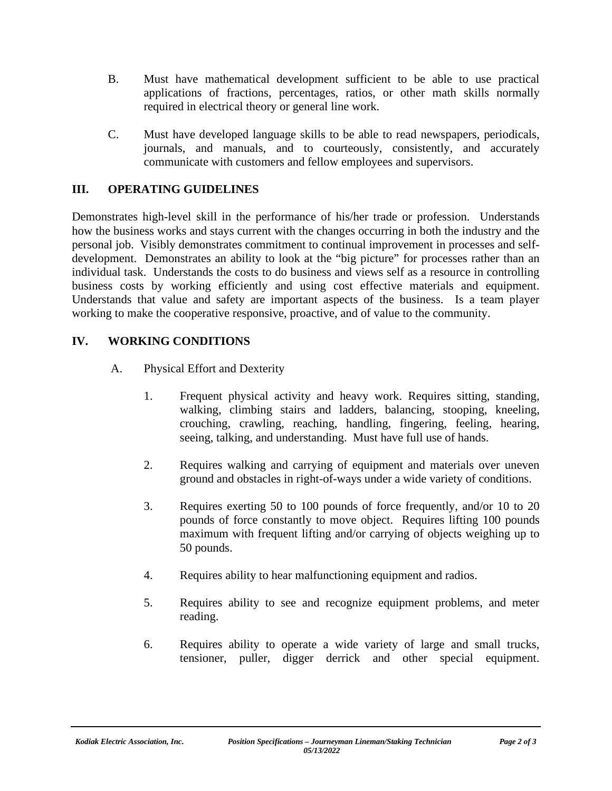- B. Must have mathematical development sufficient to be able to use practical applications of fractions, percentages, ratios, or other math skills normally required in electrical theory or general line work.
- C. Must have developed language skills to be able to read newspapers, periodicals, journals, and manuals, and to courteously, consistently, and accurately communicate with customers and fellow employees and supervisors.

## **III. OPERATING GUIDELINES**

Demonstrates high-level skill in the performance of his/her trade or profession. Understands how the business works and stays current with the changes occurring in both the industry and the personal job. Visibly demonstrates commitment to continual improvement in processes and selfdevelopment. Demonstrates an ability to look at the "big picture" for processes rather than an individual task. Understands the costs to do business and views self as a resource in controlling business costs by working efficiently and using cost effective materials and equipment. Understands that value and safety are important aspects of the business. Is a team player working to make the cooperative responsive, proactive, and of value to the community.

## **IV. WORKING CONDITIONS**

- A. Physical Effort and Dexterity
	- 1. Frequent physical activity and heavy work. Requires sitting, standing, walking, climbing stairs and ladders, balancing, stooping, kneeling, crouching, crawling, reaching, handling, fingering, feeling, hearing, seeing, talking, and understanding. Must have full use of hands.
	- 2. Requires walking and carrying of equipment and materials over uneven ground and obstacles in right-of-ways under a wide variety of conditions.
	- 3. Requires exerting 50 to 100 pounds of force frequently, and/or 10 to 20 pounds of force constantly to move object. Requires lifting 100 pounds maximum with frequent lifting and/or carrying of objects weighing up to 50 pounds.
	- 4. Requires ability to hear malfunctioning equipment and radios.
	- 5. Requires ability to see and recognize equipment problems, and meter reading.
	- 6. Requires ability to operate a wide variety of large and small trucks, tensioner, puller, digger derrick and other special equipment.